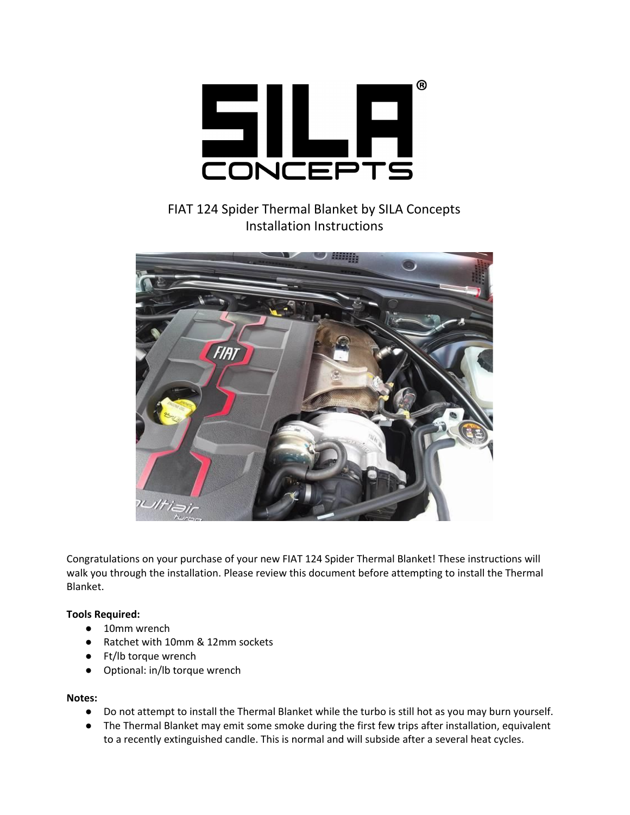

FIAT 124 Spider Thermal Blanket by SILA Concepts Installation Instructions



Congratulations on your purchase of your new FIAT 124 Spider Thermal Blanket! These instructions will walk you through the installation. Please review this document before attempting to install the Thermal Blanket.

## **Tools Required:**

- 10mm wrench
- Ratchet with 10mm & 12mm sockets
- Ft/lb torque wrench
- Optional: in/lb torque wrench

## **Notes:**

- Do not attempt to install the Thermal Blanket while the turbo is still hot as you may burn yourself.
- The Thermal Blanket may emit some smoke during the first few trips after installation, equivalent to a recently extinguished candle. This is normal and will subside after a several heat cycles.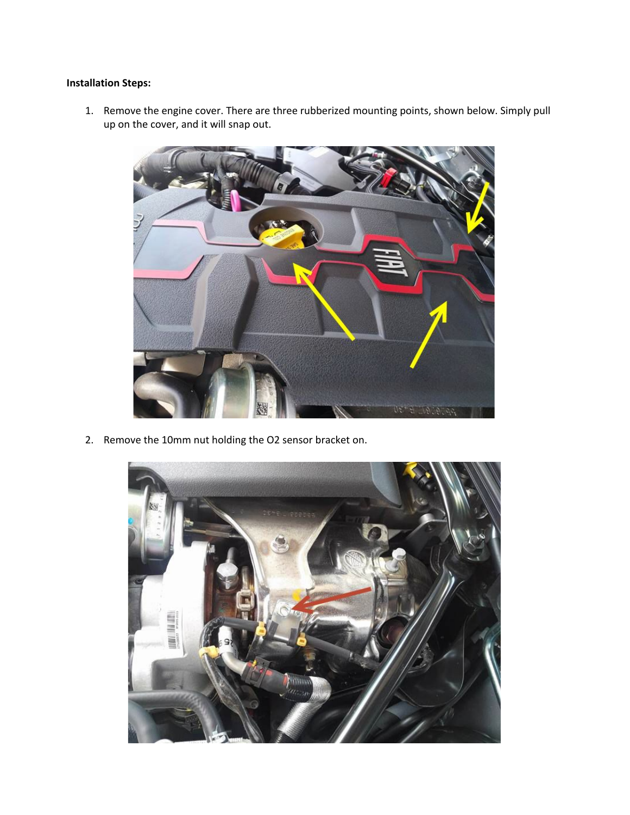## **Installation Steps:**

1. Remove the engine cover. There are three rubberized mounting points, shown below. Simply pull up on the cover, and it will snap out.



2. Remove the 10mm nut holding the O2 sensor bracket on.

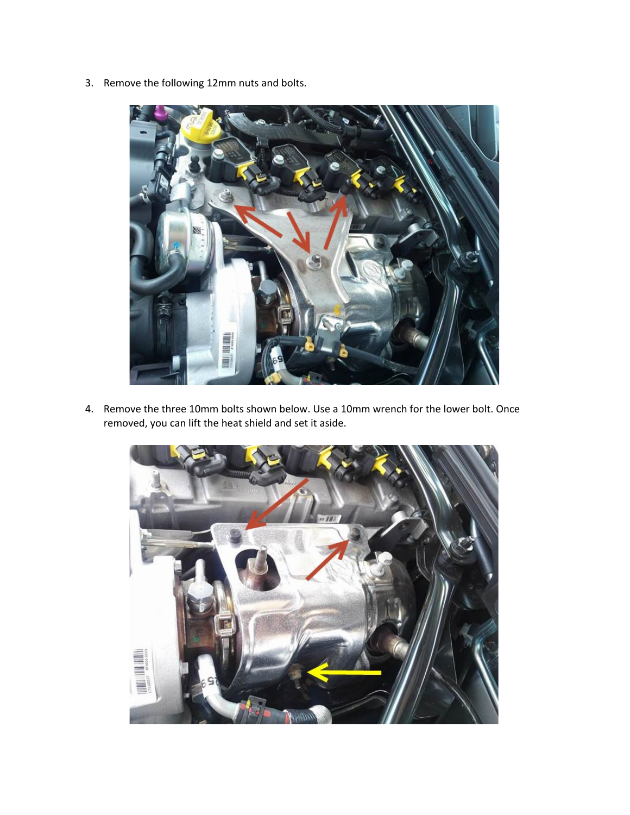3. Remove the following 12mm nuts and bolts.



4. Remove the three 10mm bolts shown below. Use a 10mm wrench for the lower bolt. Once removed, you can lift the heat shield and set it aside.

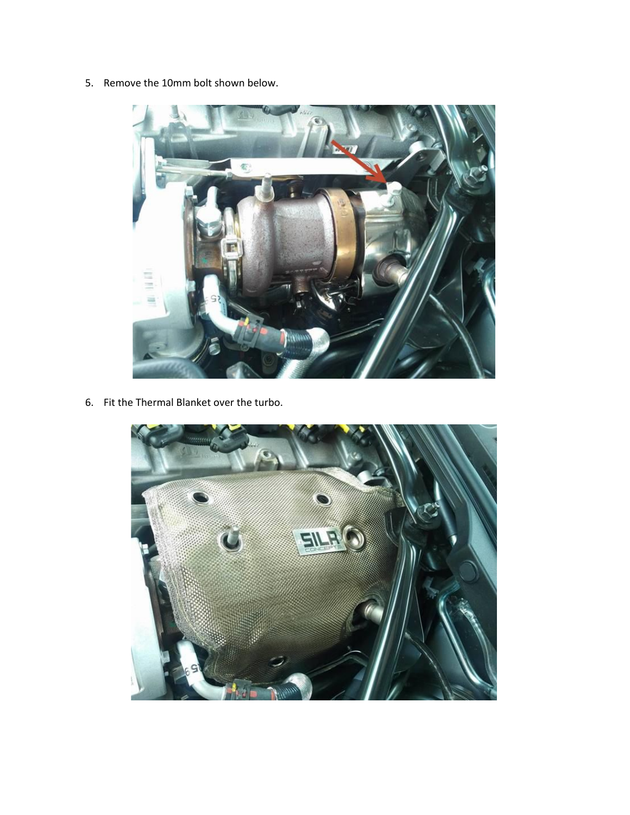5. Remove the 10mm bolt shown below.



6. Fit the Thermal Blanket over the turbo.

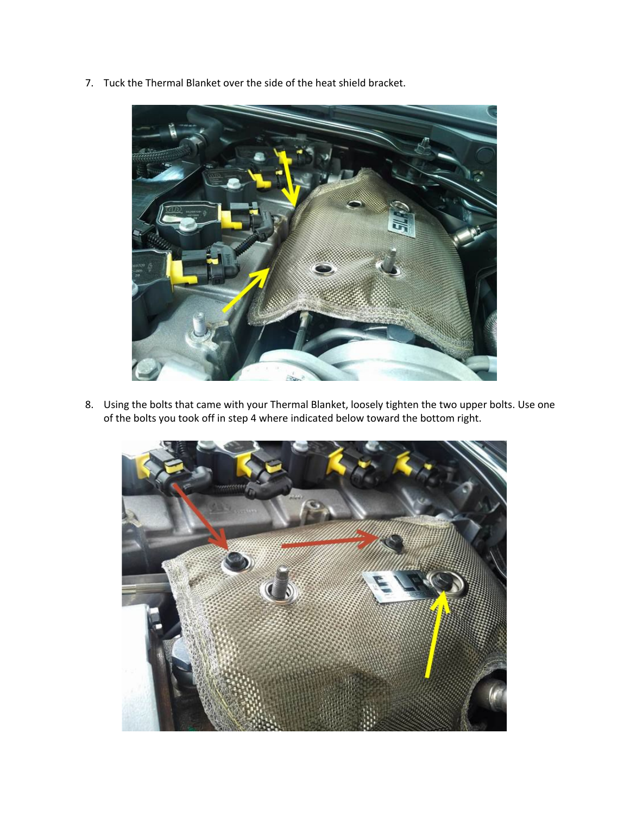7. Tuck the Thermal Blanket over the side of the heat shield bracket.



8. Using the bolts that came with your Thermal Blanket, loosely tighten the two upper bolts. Use one of the bolts you took off in step 4 where indicated below toward the bottom right.

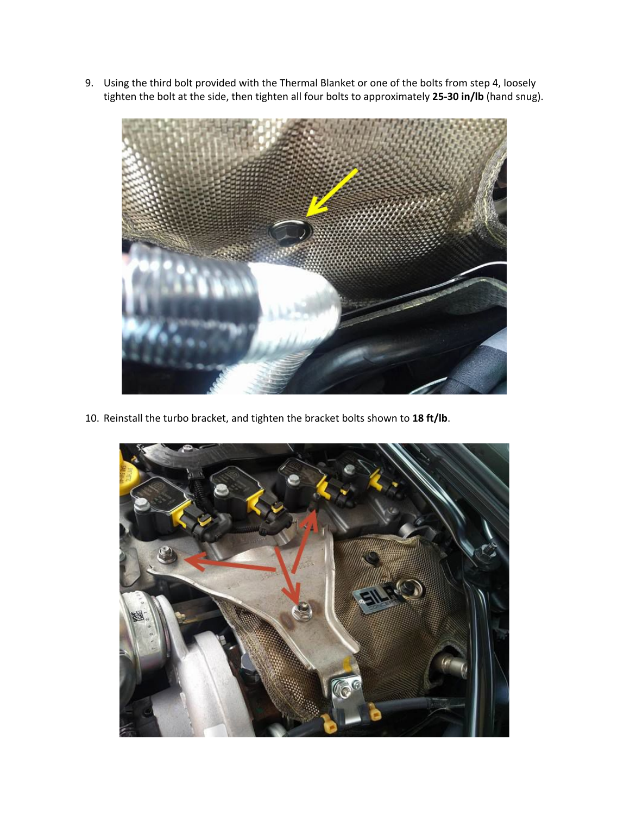9. Using the third bolt provided with the Thermal Blanket or one of the bolts from step 4, loosely tighten the bolt at the side, then tighten all four bolts to approximately **25-30 in/lb** (hand snug).



10. Reinstall the turbo bracket, and tighten the bracket bolts shown to **18 ft/lb**.

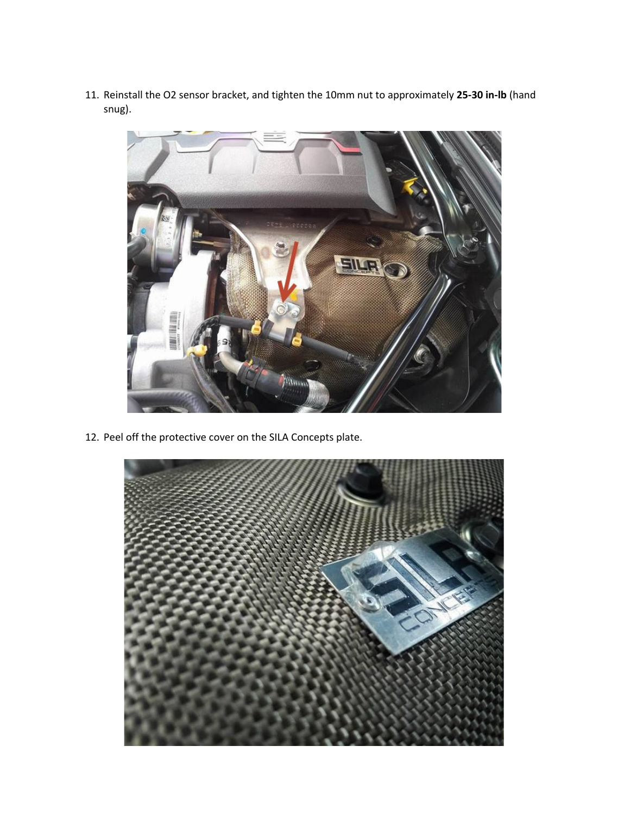11. Reinstall the O2 sensor bracket, and tighten the 10mm nut to approximately **25-30 in-lb** (hand snug).



12. Peel off the protective cover on the SILA Concepts plate.